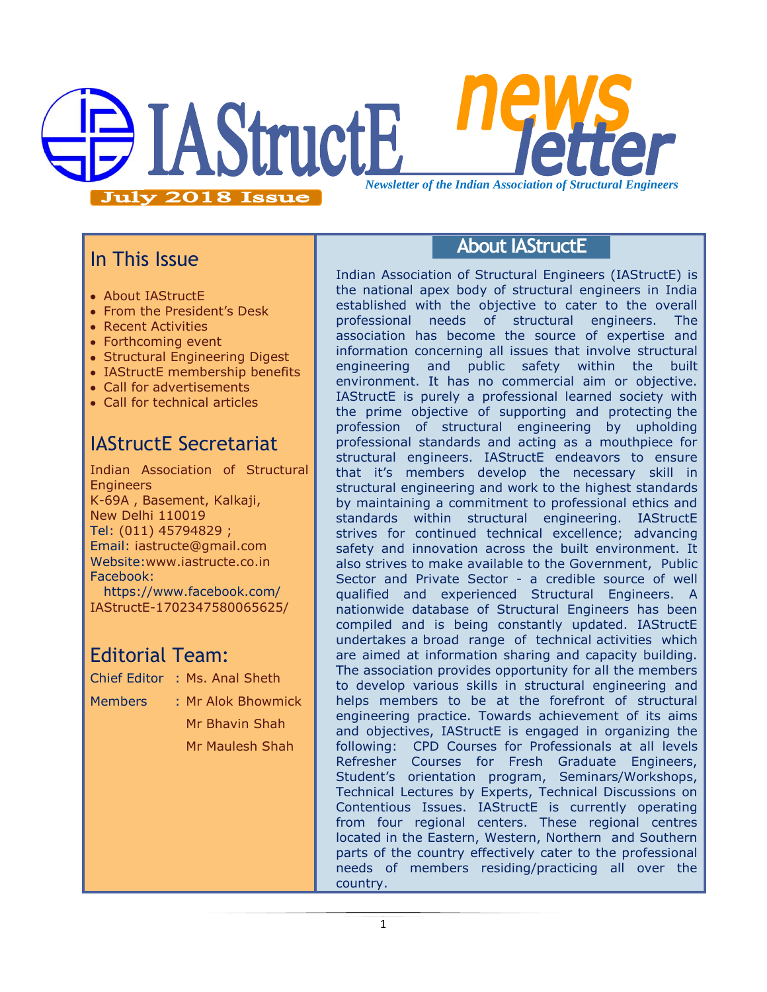# **IAStructE** *Newsletter of the Indian Association of Structural Engineers***July 2018 Issue**

# In This Issue

- About IAStructE
- From the President's Desk
- Recent Activities
- Forthcoming event
- Structural Engineering Digest
- IAStructE membership benefits
- Call for advertisements
- Call for technical articles

# IAStructE Secretariat

Indian Association of Structural **Engineers** K-69A , Basement, Kalkaji, New Delhi 110019 Tel: (011) 45794829 ; Email: iastructe@gmail.com Website[:www.iastructe.co.in](http://www.iastructe.co.in/) Facebook:

[https://www.facebook.com/](https://www.facebook.com/%20IAStructE-1702347580065625/)  [IAStructE-1702347580065625/](https://www.facebook.com/%20IAStructE-1702347580065625/)

### Editorial Team:

- Chief Editor : Ms. Anal Sheth
- Members : Mr Alok Bhowmick

Mr Bhavin Shah Mr Maulesh Shah

### **About IAStructE**

Indian Association of Structural Engineers (IAStructE) is the national apex body of structural engineers in India established with the objective to cater to the overall professional needs of structural engineers. The association has become the source of expertise and information concerning all issues that involve structural engineering and public safety within the built environment. It has no commercial aim or objective. IAStructE is purely a professional learned society with the prime objective of supporting and protecting the profession of structural engineering by upholding professional standards and acting as a mouthpiece for structural engineers. IAStructE endeavors to ensure that it"s members develop the necessary skill in structural engineering and work to the highest standards by maintaining a commitment to professional ethics and standards within structural engineering. IAStructE strives for continued technical excellence; advancing safety and innovation across the built environment. It also strives to make available to the Government, Public Sector and Private Sector - a credible source of well qualified and experienced Structural Engineers. A nationwide database of Structural Engineers has been compiled and is being constantly updated. IAStructE undertakes a broad range of technical activities which are aimed at information sharing and capacity building. The association provides opportunity for all the members to develop various skills in structural engineering and helps members to be at the forefront of structural engineering practice. Towards achievement of its aims and objectives, IAStructE is engaged in organizing the following: CPD Courses for Professionals at all levels Refresher Courses for Fresh Graduate Engineers, Student"s orientation program, Seminars/Workshops, Technical Lectures by Experts, Technical Discussions on Contentious Issues. IAStructE is currently operating from four regional centers. These regional centres located in the Eastern, Western, Northern and Southern parts of the country effectively cater to the professional needs of members residing/practicing all over the country.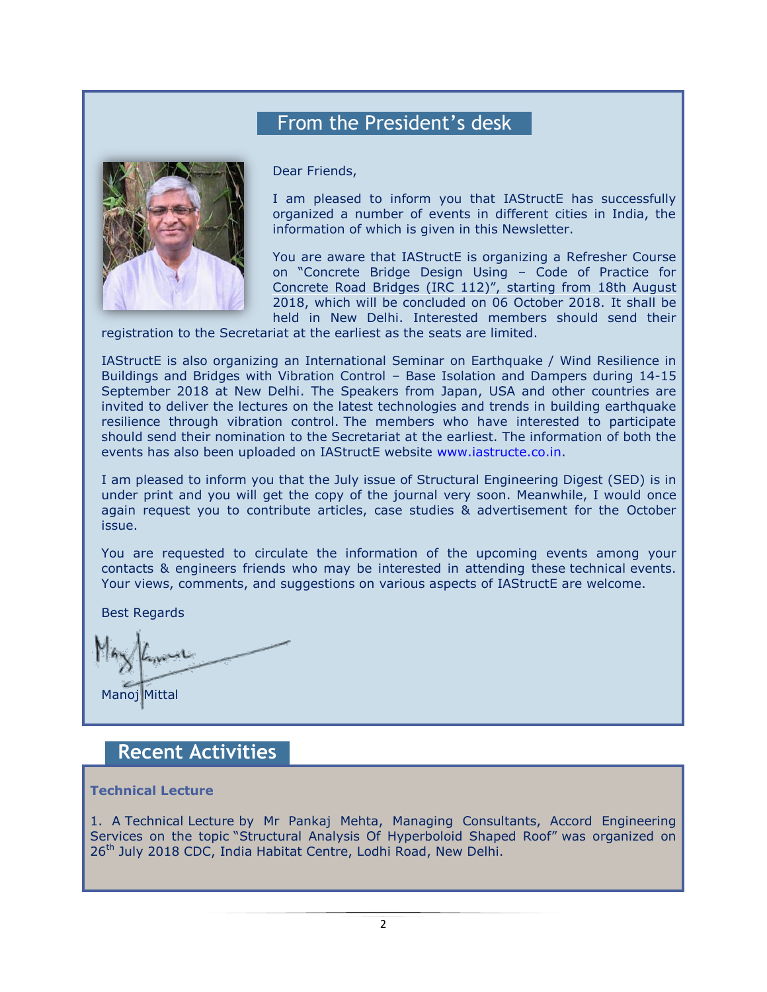# From the President's desk



Dear Friends,

I am pleased to inform you that IAStructE has successfully organized a number of events in different cities in India, the information of which is given in this Newsletter.

You are aware that IAStructE is organizing a Refresher Course on "Concrete Bridge Design Using – Code of Practice for Concrete Road Bridges (IRC 112)", starting from 18th August 2018, which will be concluded on 06 October 2018. It shall be held in New Delhi. Interested members should send their

registration to the Secretariat at the earliest as the seats are limited.

IAStructE is also organizing an International Seminar on Earthquake / Wind Resilience in Buildings and Bridges with Vibration Control – Base Isolation and Dampers during 14-15 September 2018 at New Delhi. The Speakers from Japan, USA and other countries are invited to deliver the lectures on the latest technologies and trends in building earthquake resilience through vibration control. The members who have interested to participate should send their nomination to the Secretariat at the earliest. The information of both the events has also been uploaded on IAStructE website [www.iastructe.co.in.](http://www.iastructe.co.in/)

I am pleased to inform you that the July issue of Structural Engineering Digest (SED) is in under print and you will get the copy of the journal very soon. Meanwhile, I would once again request you to contribute articles, case studies & advertisement for the October issue.

You are requested to circulate the information of the upcoming events among your contacts & engineers friends who may be interested in attending these technical events. Your views, comments, and suggestions on various aspects of IAStructE are welcome.

Best Regards

Manoj Mittal

### **Recent Activities**

#### **Technical Lecture**

1. A Technical Lecture by Mr Pankaj Mehta, Managing Consultants, Accord Engineering Services on the topic "Structural Analysis Of Hyperboloid Shaped Roof" was organized on 26<sup>th</sup> July 2018 CDC, India Habitat Centre, Lodhi Road, New Delhi.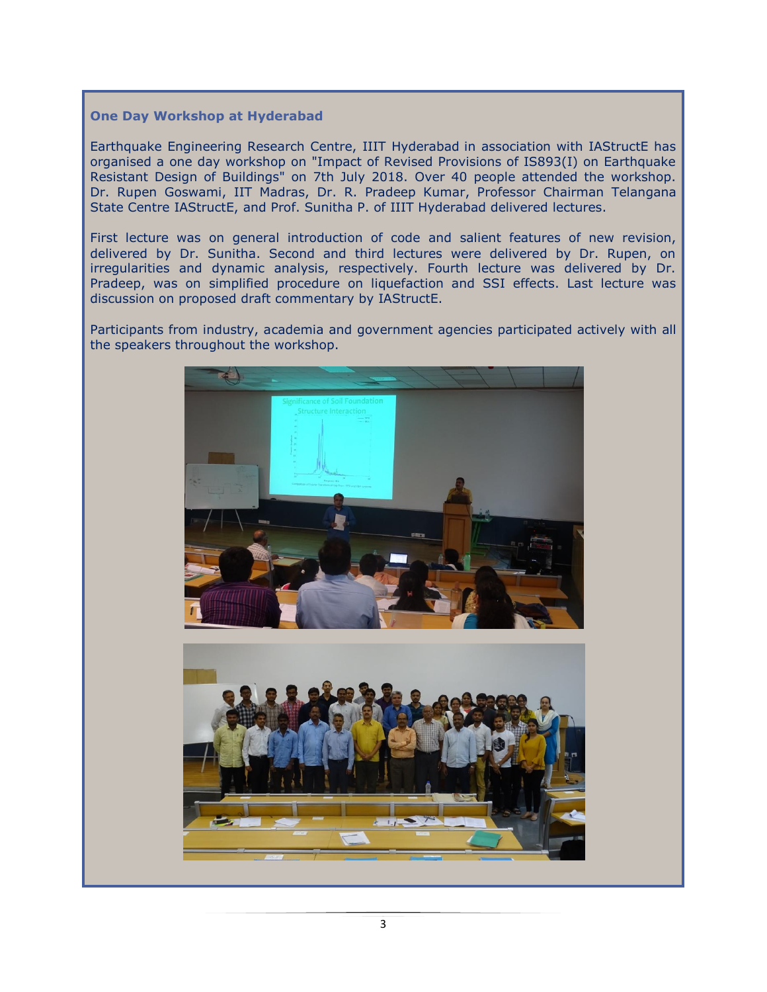### **One Day Workshop at Hyderabad**

Earthquake Engineering Research Centre, IIIT Hyderabad in association with IAStructE has organised a one day workshop on "Impact of Revised Provisions of IS893(I) on Earthquake Resistant Design of Buildings" on 7th July 2018. Over 40 people attended the workshop. Dr. Rupen Goswami, IIT Madras, Dr. R. Pradeep Kumar, Professor Chairman Telangana State Centre IAStructE, and Prof. Sunitha P. of IIIT Hyderabad delivered lectures.

First lecture was on general introduction of code and salient features of new revision, delivered by Dr. Sunitha. Second and third lectures were delivered by Dr. Rupen, on irregularities and dynamic analysis, respectively. Fourth lecture was delivered by Dr. Pradeep, was on simplified procedure on liquefaction and SSI effects. Last lecture was discussion on proposed draft commentary by IAStructE.

Participants from industry, academia and government agencies participated actively with all the speakers throughout the workshop.

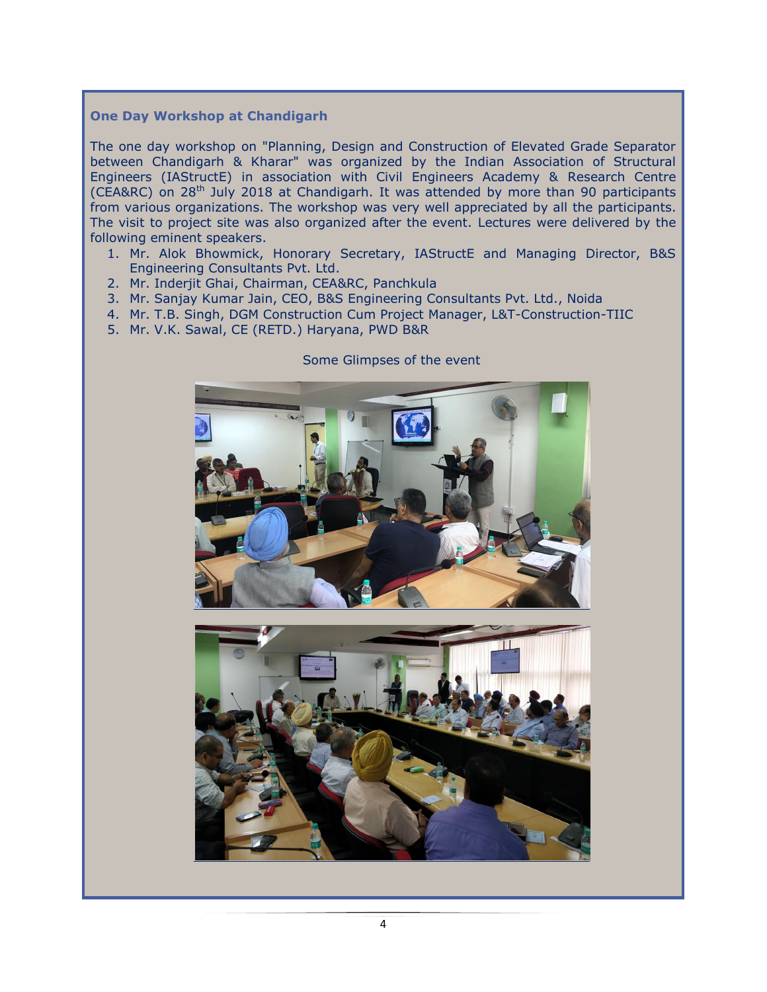### **One Day Workshop at Chandigarh**

The one day workshop on "Planning, Design and Construction of Elevated Grade Separator between Chandigarh & Kharar" was organized by the Indian Association of Structural Engineers (IAStructE) in association with Civil Engineers Academy & Research Centre (CEA&RC) on 28<sup>th</sup> July 2018 at Chandigarh. It was attended by more than 90 participants from various organizations. The workshop was very well appreciated by all the participants. The visit to project site was also organized after the event. Lectures were delivered by the following eminent speakers.

- 1. Mr. Alok Bhowmick, Honorary Secretary, IAStructE and Managing Director, B&S Engineering Consultants Pvt. Ltd.
- 2. Mr. Inderjit Ghai, Chairman, CEA&RC, Panchkula
- 3. Mr. Sanjay Kumar Jain, CEO, B&S Engineering Consultants Pvt. Ltd., Noida
- 4. Mr. T.B. Singh, DGM Construction Cum Project Manager, L&T-Construction-TIIC
- 5. Mr. V.K. Sawal, CE (RETD.) Haryana, PWD B&R



#### Some Glimpses of the event

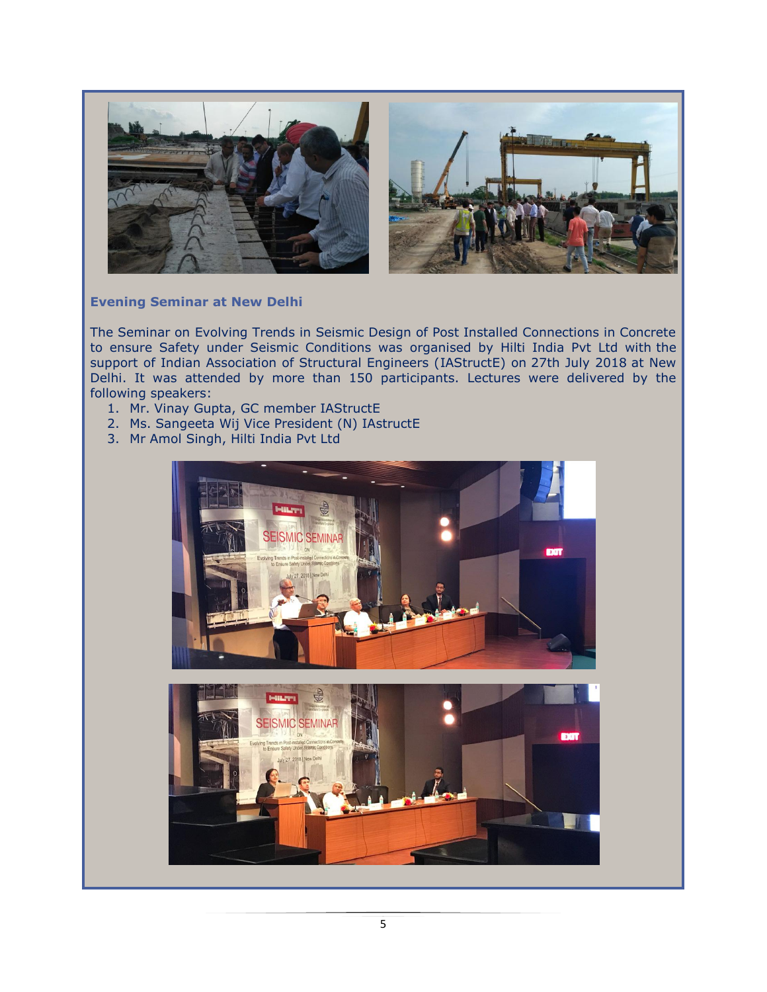

### **Evening Seminar at New Delhi**

The Seminar on Evolving Trends in Seismic Design of Post Installed Connections in Concrete to ensure Safety under Seismic Conditions was organised by Hilti India Pvt Ltd with the support of Indian Association of Structural Engineers (IAStructE) on 27th July 2018 at New Delhi. It was attended by more than 150 participants. Lectures were delivered by the following speakers:

- 1. Mr. Vinay Gupta, GC member IAStructE
- 2. Ms. Sangeeta Wij Vice President (N) IAstructE
- 3. Mr Amol Singh, Hilti India Pvt Ltd



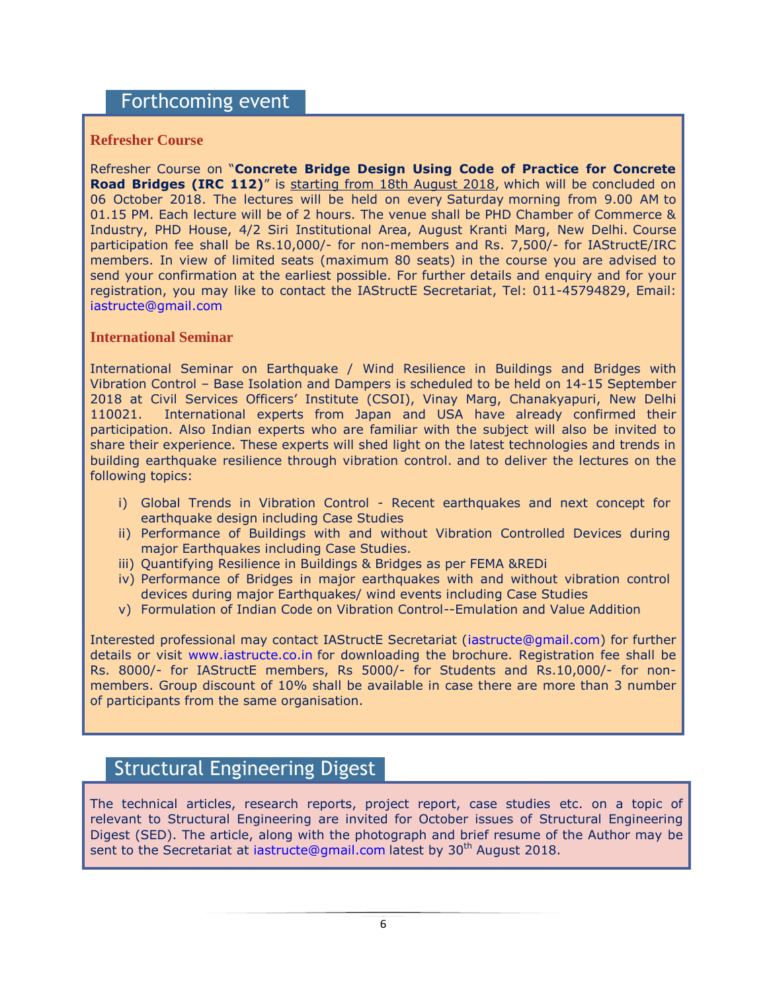### Forthcoming event

### **Refresher Course**

Refresher Course on "**Concrete Bridge Design Using Code of Practice for Concrete Road Bridges (IRC 112)**" is starting from 18th August 2018, which will be concluded on 06 October 2018. The lectures will be held on every Saturday morning from 9.00 AM to 01.15 PM. Each lecture will be of 2 hours. The venue shall be PHD Chamber of Commerce & Industry, PHD House, 4/2 Siri Institutional Area, August Kranti Marg, New Delhi. Course participation fee shall be Rs.10,000/- for non-members and Rs. 7,500/- for IAStructE/IRC members. In view of limited seats (maximum 80 seats) in the course you are advised to send your confirmation at the earliest possible. For further details and enquiry and for your registration, you may like to contact the IAStructE Secretariat, Tel: 011-45794829, Email: [iastructe@gmail.com](mailto:iastructe@gmail.com)

### **International Seminar**

International Seminar on Earthquake / Wind Resilience in Buildings and Bridges with Vibration Control – Base Isolation and Dampers is scheduled to be held on 14-15 September 2018 at Civil Services Officers" Institute (CSOI), Vinay Marg, Chanakyapuri, New Delhi 110021. International experts from Japan and USA have already confirmed their participation. Also Indian experts who are familiar with the subject will also be invited to share their experience. These experts will shed light on the latest technologies and trends in building earthquake resilience through vibration control. and to deliver the lectures on the following topics:

- i) Global Trends in Vibration Control Recent earthquakes and next concept for earthquake design including Case Studies
- ii) Performance of Buildings with and without Vibration Controlled Devices during major Earthquakes including Case Studies.
- iii) Quantifying Resilience in Buildings & Bridges as per FEMA &REDi
- iv) Performance of Bridges in major earthquakes with and without vibration control devices during major Earthquakes/ wind events including Case Studies
- v) Formulation of Indian Code on Vibration Control--Emulation and Value Addition

Interested professional may contact IAStructE Secretariat [\(iastructe@gmail.com\)](mailto:iastructe@gmail.com) for further details or visit [www.iastructe.co.in](http://www.iastructe.co.in/) for downloading the brochure. Registration fee shall be Rs. 8000/- for IAStructE members, Rs 5000/- for Students and Rs.10,000/- for nonmembers. Group discount of 10% shall be available in case there are more than 3 number of participants from the same organisation.

### Structural Engineering Digest

The technical articles, research reports, project report, case studies etc. on a topic of relevant to Structural Engineering are invited for October issues of Structural Engineering Digest (SED). The article, along with the photograph and brief resume of the Author may be sent to the Secretariat at [iastructe@gmail.com](mailto:iastructe@gmail.com) latest by 30<sup>th</sup> August 2018.